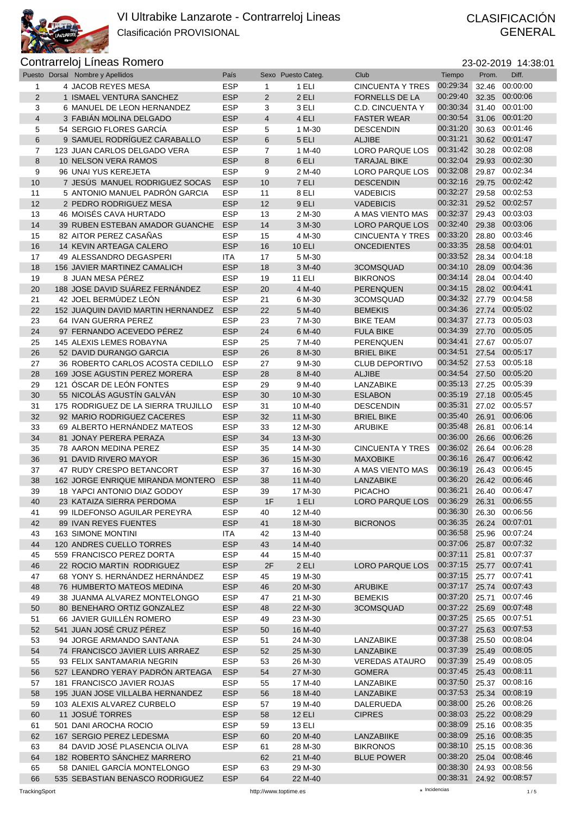

|                | Puesto Dorsal Nombre y Apellidos    | País       |                | Sexo Puesto Categ. | Club                    | Tiempo                  | Prom. | Diff.          |
|----------------|-------------------------------------|------------|----------------|--------------------|-------------------------|-------------------------|-------|----------------|
| 1              | 4 JACOB REYES MESA                  | <b>ESP</b> | 1              | 1 ELI              | <b>CINCUENTA Y TRES</b> | 00:29:34                | 32.46 | 00:00:00       |
| 2              | 1 ISMAEL VENTURA SANCHEZ            | <b>ESP</b> | 2              | 2 ELI              | <b>FORNELLS DE LA</b>   | 00:29:40                | 32.35 | 00:00:06       |
| 3              | 6 MANUEL DE LEON HERNANDEZ          | <b>ESP</b> | 3              | 3 ELI              | <b>C.D. CINCUENTA Y</b> | 00:30:34                |       | 31.40 00:01:00 |
|                |                                     |            |                |                    |                         | 00:30:54                |       | 00:01:20       |
| $\overline{4}$ | 3 FABIÁN MOLINA DELGADO             | <b>ESP</b> | $\overline{4}$ | 4 ELI              | <b>FASTER WEAR</b>      |                         | 31.06 |                |
| 5              | 54 SERGIO FLORES GARCÍA             | <b>ESP</b> | 5              | 1 M-30             | <b>DESCENDIN</b>        | 00:31:20                |       | 30.63 00:01:46 |
| $6\phantom{1}$ | 9 SAMUEL RODRÍGUEZ CARABALLO        | <b>ESP</b> | 6              | 5 ELI              | <b>ALJIBE</b>           | 00:31:21                |       | 30.62 00:01:47 |
| 7              | 123 JUAN CARLOS DELGADO VERA        | <b>ESP</b> | $\overline{7}$ | 1 M-40             | <b>LORO PARQUE LOS</b>  | 00:31:42                | 30.28 | 00:02:08       |
| 8              | 10 NELSON VERA RAMOS                | <b>ESP</b> | 8              | 6 ELI              | <b>TARAJAL BIKE</b>     | 00:32:04                |       | 29.93 00:02:30 |
| 9              | 96 UNAI YUS KEREJETA                | <b>ESP</b> | 9              | 2 M-40             | LORO PARQUE LOS         | 00:32:08                |       | 29.87 00:02:34 |
|                |                                     |            |                |                    |                         |                         |       |                |
| 10             | 7 JESÚS MANUEL RODRIGUEZ SOCAS      | <b>ESP</b> | 10             | 7 ELI              | <b>DESCENDIN</b>        | 00:32:16                | 29.75 | 00:02:42       |
| 11             | 5 ANTONIO MANUEL PADRÓN GARCIA      | <b>ESP</b> | 11             | 8 ELI              | <b>VADEBICIS</b>        | 00:32:27                | 29.58 | 00:02:53       |
| 12             | 2 PEDRO RODRIGUEZ MESA              | <b>ESP</b> | 12             | 9 ELI              | <b>VADEBICIS</b>        | 00:32:31                |       | 29.52 00:02:57 |
| 13             | 46 MOISÉS CAVA HURTADO              | <b>ESP</b> | 13             | 2 M-30             | A MAS VIENTO MAS        | 00:32:37                | 29.43 | 00:03:03       |
| 14             | 39 RUBEN ESTEBAN AMADOR GUANCHE     | <b>ESP</b> | 14             | 3 M-30             | LORO PARQUE LOS         | 00:32:40                | 29.38 | 00:03:06       |
| 15             | 82 AITOR PEREZ CASAÑAS              | <b>ESP</b> | 15             | 4 M-30             | <b>CINCUENTA Y TRES</b> | 00:33:20                |       | 28.80 00:03:46 |
|                |                                     |            |                |                    |                         |                         |       |                |
| 16             | 14 KEVIN ARTEAGA CALERO             | <b>ESP</b> | 16             | <b>10 ELI</b>      | <b>ONCEDIENTES</b>      | 00:33:35                | 28.58 | 00:04:01       |
| 17             | 49 ALESSANDRO DEGASPERI             | ITA        | 17             | 5 M-30             |                         | 00:33:52                |       | 28.34 00:04:18 |
| 18             | 156 JAVIER MARTINEZ CAMALICH        | <b>ESP</b> | 18             | 3 M-40             | 3COMSQUAD               | 00:34:10                |       | 28.09 00:04:36 |
| 19             | 8 JUAN MESA PÉREZ                   | <b>ESP</b> | 19             | <b>11 ELI</b>      | <b>BIKRONOS</b>         | 00:34:14                |       | 28.04 00:04:40 |
| 20             | 188 JOSE DAVID SUÁREZ FERNÁNDEZ     | <b>ESP</b> | 20             | 4 M-40             | <b>PERENQUEN</b>        | 00:34:15                |       | 28.02 00:04:41 |
|                | 42 JOEL BERMÚDEZ LEÓN               | <b>ESP</b> |                | 6 M-30             |                         | 00:34:32                |       | 27.79 00:04:58 |
| 21             |                                     |            | 21             |                    | 3COMSQUAD               |                         |       |                |
| 22             | 152 JUAQUIN DAVID MARTIN HERNANDEZ  | <b>ESP</b> | 22             | 5 M-40             | <b>BEMEKIS</b>          | 00:34:36                |       | 27.74 00:05:02 |
| 23             | 64 IVAN GUERRA PEREZ                | <b>ESP</b> | 23             | 7 M-30             | <b>BIKE TEAM</b>        | 00:34:37                | 27.73 | 00:05:03       |
| 24             | 97 FERNANDO ACEVEDO PÉREZ           | <b>ESP</b> | 24             | 6 M-40             | <b>FULA BIKE</b>        | 00:34:39                |       | 27.70 00:05:05 |
| 25             | 145 ALEXIS LEMES ROBAYNA            | <b>ESP</b> | 25             | 7 M-40             | PERENQUEN               | 00:34:41                |       | 27.67 00:05:07 |
| 26             | 52 DAVID DURANGO GARCIA             | <b>ESP</b> | 26             | 8 M-30             | <b>BRIEL BIKE</b>       | 00:34:51                |       | 27.54 00:05:17 |
|                |                                     |            |                |                    |                         | 00:34:52                |       | 27.53 00:05:18 |
| 27             | 36 ROBERTO CARLOS ACOSTA CEDILLO    | <b>ESP</b> | 27             | 9 M-30             | <b>CLUB DEPORTIVO</b>   |                         |       |                |
| 28             | 169 JOSE AGUSTIN PEREZ MORERA       | <b>ESP</b> | 28             | 8 M-40             | <b>ALJIBE</b>           | 00:34:54                | 27.50 | 00:05:20       |
| 29             | 121 ÓSCAR DE LEÓN FONTES            | <b>ESP</b> | 29             | 9 M-40             | LANZABIKE               | 00:35:13                | 27.25 | 00:05:39       |
| 30             | 55 NICOLÁS AGUSTÍN GALVÁN           | <b>ESP</b> | 30             | 10 M-30            | <b>ESLABON</b>          | 00:35:19                |       | 27.18 00:05:45 |
| 31             | 175 RODRIGUEZ DE LA SIERRA TRUJILLO | <b>ESP</b> | 31             | 10 M-40            | <b>DESCENDIN</b>        | 00:35:31                |       | 27.02 00:05:57 |
| 32             | 92 MARIO RODRIGUEZ CACERES          | <b>ESP</b> | 32             | 11 M-30            | <b>BRIEL BIKE</b>       | 00:35:40                | 26.91 | 00:06:06       |
|                |                                     |            |                |                    |                         |                         |       |                |
| 33             | 69 ALBERTO HERNÁNDEZ MATEOS         | <b>ESP</b> | 33             | 12 M-30            | <b>ARUBIKE</b>          | 00:35:48                | 26.81 | 00:06:14       |
| 34             | 81 JONAY PERERA PERAZA              | <b>ESP</b> | 34             | 13 M-30            |                         | 00:36:00                | 26.66 | 00:06:26       |
| 35             | 78 AARON MEDINA PEREZ               | <b>ESP</b> | 35             | 14 M-30            | <b>CINCUENTA Y TRES</b> | 00:36:02                |       | 26.64 00:06:28 |
| 36             | 91 DAVID RIVERO MAYOR               | <b>ESP</b> | 36             | 15 M-30            | <b>MAXOBIKE</b>         | 00:36:16                |       | 26.47 00:06:42 |
| 37             | 47 RUDY CRESPO BETANCORT            | <b>ESP</b> | 37             | 16 M-30            | A MAS VIENTO MAS        | 00:36:19                | 26.43 | 00:06:45       |
|                |                                     |            |                |                    |                         | 00:36:20                |       | 26.42 00:06:46 |
| 38             | 162 JORGE ENRIQUE MIRANDA MONTERO   | <b>ESP</b> | 38             | 11 M-40            | LANZABIKE               |                         |       |                |
| 39             | 18 YAPCI ANTONIO DIAZ GODOY         | <b>ESP</b> | 39             | 17 M-30            | <b>PICACHO</b>          | 00:36:21                | 26.40 | 00:06:47       |
| 40             | 23 KATAIZA SIERRA PERDOMA           | <b>ESP</b> | 1F             | 1 ELI              | <b>LORO PARQUE LOS</b>  | 00:36:29                | 26.31 | 00:06:55       |
| 41             | 99 ILDEFONSO AGUILAR PEREYRA        | <b>ESP</b> | 40             | 12 M-40            |                         | 00:36:30 26.30 00:06:56 |       |                |
| 42             | 89 IVAN REYES FUENTES               | <b>ESP</b> | 41             | 18 M-30            | <b>BICRONOS</b>         | 00:36:35                |       | 26.24 00:07:01 |
| 43             | 163 SIMONE MONTINI                  | <b>ITA</b> | 42             | 13 M-40            |                         | 00:36:58                |       | 25.96 00:07:24 |
|                |                                     |            |                |                    |                         | 00:37:06                |       |                |
| 44             | 120 ANDRES CUELLO TORRES            | <b>ESP</b> | 43             | 14 M-40            |                         |                         |       | 25.87 00:07:32 |
| 45             | 559 FRANCISCO PEREZ DORTA           | <b>ESP</b> | 44             | 15 M-40            |                         | 00:37:11                |       | 25.81 00:07:37 |
| 46             | 22 ROCIO MARTIN RODRIGUEZ           | <b>ESP</b> | 2F             | 2 ELI              | <b>LORO PARQUE LOS</b>  | 00:37:15                |       | 25.77 00:07:41 |
| 47             | 68 YONY S. HERNÁNDEZ HERNÁNDEZ      | <b>ESP</b> | 45             | 19 M-30            |                         | 00:37:15                |       | 25.77 00:07:41 |
| 48             | 76 HUMBERTO MATEOS MEDINA           | <b>ESP</b> | 46             | 20 M-30            | <b>ARUBIKE</b>          | 00:37:17                |       | 25.74 00:07:43 |
| 49             | 38 JUANMA ALVAREZ MONTELONGO        | <b>ESP</b> | 47             | 21 M-30            | <b>BEMEKIS</b>          | 00:37:20                |       | 25.71 00:07:46 |
|                |                                     |            |                |                    |                         |                         |       |                |
| 50             | 80 BENEHARO ORTIZ GONZALEZ          | <b>ESP</b> | 48             | 22 M-30            | 3COMSQUAD               | 00:37:22                |       | 25.69 00:07:48 |
| 51             | 66 JAVIER GUILLÉN ROMERO            | <b>ESP</b> | 49             | 23 M-30            |                         | 00:37:25 25.65 00:07:51 |       |                |
| 52             | 541 JUAN JOSÉ CRUZ PÉREZ            | <b>ESP</b> | 50             | 16 M-40            |                         | 00:37:27                |       | 25.63 00:07:53 |
| 53             | 94 JORGE ARMANDO SANTANA            | <b>ESP</b> | 51             | 24 M-30            | LANZABIKE               | 00:37:38                |       | 25.50 00:08:04 |
| 54             | 74 FRANCISCO JAVIER LUIS ARRAEZ     | <b>ESP</b> | 52             | 25 M-30            | LANZABIKE               | 00:37:39                |       | 25.49 00:08:05 |
|                |                                     |            |                |                    |                         | 00:37:39                |       |                |
| 55             | 93 FELIX SANTAMARIA NEGRIN          | <b>ESP</b> | 53             | 26 M-30            | <b>VEREDAS ATAURO</b>   |                         |       | 25.49 00:08:05 |
| 56             | 527 LEANDRO YERAY PADRON ARTEAGA    | <b>ESP</b> | 54             | 27 M-30            | <b>GOMERA</b>           | 00:37:45                |       | 25.43 00:08:11 |
| 57             | 181 FRANCISCO JAVIER ROJAS          | <b>ESP</b> | 55             | 17 M-40            | LANZABIKE               | 00:37:50 25.37 00:08:16 |       |                |
| 58             | 195 JUAN JOSE VILLALBA HERNANDEZ    | <b>ESP</b> | 56             | 18 M-40            | LANZABIKE               | 00:37:53                |       | 25.34 00:08:19 |
| 59             | 103 ALEXIS ALVAREZ CURBELO          | <b>ESP</b> | 57             | 19 M-40            | DALERUEDA               | 00:38:00                |       | 25.26 00:08:26 |
| 60             | 11 JOSUÉ TORRES                     | <b>ESP</b> | 58             | <b>12 ELI</b>      | <b>CIPRES</b>           | 00:38:03                |       | 25.22 00:08:29 |
|                |                                     |            |                |                    |                         |                         |       |                |
| 61             | 501 DANI AROCHA ROCIO               | <b>ESP</b> | 59             | <b>13 ELI</b>      |                         | 00:38:09                |       | 25.16 00:08:35 |
| 62             | 167 SERGIO PEREZ LEDESMA            | <b>ESP</b> | 60             | 20 M-40            | LANZABIIKE              | 00:38:09                |       | 25.16 00:08:35 |
| 63             | 84 DAVID JOSÉ PLASENCIA OLIVA       | <b>ESP</b> | 61             | 28 M-30            | <b>BIKRONOS</b>         | 00:38:10 25.15 00:08:36 |       |                |
| 64             | 182 ROBERTO SÁNCHEZ MARRERO         |            | 62             | 21 M-40            | <b>BLUE POWER</b>       | 00:38:20                |       | 25.04 00:08:46 |
| 65             | 58 DANIEL GARCÍA MONTELONGO         | <b>ESP</b> | 63             | 29 M-30            |                         | 00:38:30                |       | 24.93 00:08:56 |
| 66             | 535 SEBASTIAN BENASCO RODRIGUEZ     | <b>ESP</b> | 64             | 22 M-40            |                         | 00:38:31                |       | 24.92 00:08:57 |
|                |                                     |            |                |                    |                         |                         |       |                |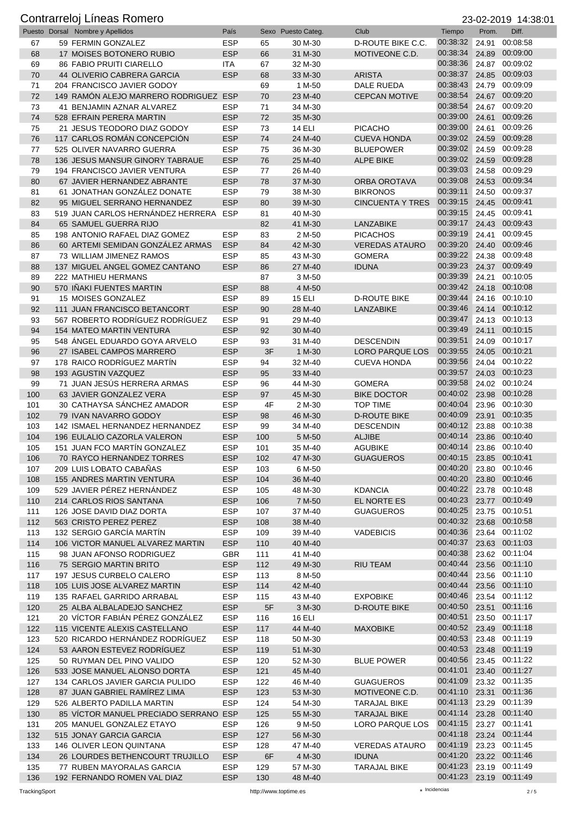|            | Puesto Dorsal Nombre y Apellidos                                    | País                     |            | Sexo Puesto Categ. | Club                                       | Tiempo                     | Prom.          | Diff.                      |
|------------|---------------------------------------------------------------------|--------------------------|------------|--------------------|--------------------------------------------|----------------------------|----------------|----------------------------|
| 67         | 59 FERMIN GONZALEZ                                                  | <b>ESP</b>               | 65         | 30 M-30            | D-ROUTE BIKE C.C.                          | 00:38:32                   | 24.91          | 00:08:58                   |
| 68         | 17 MOISES BOTONERO RUBIO                                            | <b>ESP</b>               | 66         | 31 M-30            | MOTIVEONE C.D.                             | 00:38:34                   | 24.89          | 00:09:00                   |
| 69         | <b>86 FABIO PRUITI CIARELLO</b>                                     | ITA                      | 67         | 32 M-30            |                                            | 00:38:36                   | 24.87          | 00:09:02                   |
| 70         | 44 OLIVERIO CABRERA GARCIA                                          | <b>ESP</b>               | 68         | 33 M-30            | <b>ARISTA</b>                              | 00:38:37                   | 24.85          | 00:09:03                   |
| 71         | 204 FRANCISCO JAVIER GODOY                                          |                          | 69         | 1 M-50             | DALE RUEDA                                 | 00:38:43                   | 24.79          | 00:09:09                   |
| 72         | 149 RAMÓN ALEJO MARRERO RODRIGUEZ ESP                               |                          | 70         | 23 M-40            | <b>CEPCAN MOTIVE</b>                       | 00:38:54                   | 24.67          | 00:09:20                   |
| 73         | 41 BENJAMIN AZNAR ALVAREZ                                           | <b>ESP</b>               | 71         | 34 M-30            |                                            | 00:38:54                   | 24.67          | 00:09:20                   |
| 74         | 528 EFRAIN PERERA MARTIN                                            | <b>ESP</b>               | 72         | 35 M-30            |                                            | 00:39:00                   | 24.61          | 00:09:26                   |
| 75         | 21 JESUS TEODORO DIAZ GODOY                                         | <b>ESP</b>               | 73         | <b>14 ELI</b>      | PICACHO                                    | 00:39:00                   | 24.61          | 00:09:26                   |
| 76         | 117 CARLOS ROMÁN CONCEPCIÓN                                         | <b>ESP</b>               | 74         | 24 M-40            | <b>CUEVA HONDA</b>                         | 00:39:02                   | 24.59          | 00:09:28                   |
| 77         | 525 OLIVER NAVARRO GUERRA                                           | <b>ESP</b>               | 75         | 36 M-30            | <b>BLUEPOWER</b>                           | 00:39:02                   | 24.59          | 00:09:28                   |
| 78         | 136 JESUS MANSUR GINORY TABRAUE                                     | <b>ESP</b>               | 76         | 25 M-40            | <b>ALPE BIKE</b>                           | 00:39:02 24.59<br>00:39:03 |                | 00:09:28<br>00:09:29       |
| 79<br>80   | 194 FRANCISCO JAVIER VENTURA<br>67 JAVIER HERNANDEZ ABRANTE         | <b>ESP</b><br><b>ESP</b> | 77<br>78   | 26 M-40            |                                            | 00:39:08                   | 24.58<br>24.53 | 00:09:34                   |
| 81         | 61 JONATHAN GONZÁLEZ DONATE                                         | <b>ESP</b>               | 79         | 37 M-30<br>38 M-30 | <b>ORBA OROTAVA</b><br><b>BIKRONOS</b>     | 00:39:11                   | 24.50          | 00:09:37                   |
| 82         | 95 MIGUEL SERRANO HERNANDEZ                                         | <b>ESP</b>               | 80         | 39 M-30            | <b>CINCUENTA Y TRES</b>                    | 00:39:15                   | 24.45          | 00:09:41                   |
| 83         | 519 JUAN CARLOS HERNÁNDEZ HERRERA                                   | ESP                      | 81         | 40 M-30            |                                            | 00:39:15                   | 24.45          | 00:09:41                   |
| 84         | 65 SAMUEL GUERRA RIJO                                               |                          | 82         | 41 M-30            | LANZABIKE                                  | 00:39:17                   | 24.43          | 00:09:43                   |
| 85         | 198 ANTONIO RAFAEL DIAZ GOMEZ                                       | ESP                      | 83         | 2 M-50             | <b>PICACHOS</b>                            | 00:39:19                   | 24.41          | 00:09:45                   |
| 86         | 60 ARTEMI SEMIDAN GONZÁLEZ ARMAS                                    | <b>ESP</b>               | 84         | 42 M-30            | <b>VEREDAS ATAURO</b>                      | 00:39:20                   | 24.40          | 00:09:46                   |
| 87         | 73 WILLIAM JIMENEZ RAMOS                                            | <b>ESP</b>               | 85         | 43 M-30            | <b>GOMERA</b>                              | 00:39:22                   | 24.38          | 00:09:48                   |
| 88         | 137 MIGUEL ANGEL GOMEZ CANTANO                                      | <b>ESP</b>               | 86         | 27 M-40            | <b>IDUNA</b>                               | 00:39:23                   | 24.37          | 00:09:49                   |
| 89         | 222 MATHIEU HERMANS                                                 |                          | 87         | 3 M-50             |                                            | 00:39:39                   | 24.21          | 00:10:05                   |
| 90         | 570 IÑAKI FUENTES MARTIN                                            | <b>ESP</b>               | 88         | 4 M-50             |                                            | 00:39:42                   |                | 24.18 00:10:08             |
| 91         | 15 MOISES GONZALEZ                                                  | <b>ESP</b>               | 89         | <b>15 ELI</b>      | <b>D-ROUTE BIKE</b>                        | 00:39:44                   |                | 24.16 00:10:10             |
| 92         | 111 JUAN FRANCISCO BETANCORT                                        | <b>ESP</b>               | 90         | 28 M-40            | <b>LANZABIKE</b>                           | 00:39:46                   |                | 24.14 00:10:12             |
| 93         | 567 ROBERTO RODRÍGUEZ RODRÍGUEZ                                     | <b>ESP</b>               | 91         | 29 M-40            |                                            | 00:39:47                   |                | 24.13 00:10:13             |
| 94         | 154 MATEO MARTIN VENTURA                                            | <b>ESP</b>               | 92         | 30 M-40            |                                            | 00:39:49                   | 24.11          | 00:10:15                   |
| 95         | 548 ÁNGEL EDUARDO GOYA ARVELO                                       | <b>ESP</b>               | 93         | 31 M-40            | <b>DESCENDIN</b>                           | 00:39:51                   | 24.09          | 00:10:17                   |
| 96         | 27 ISABEL CAMPOS MARRERO                                            | <b>ESP</b>               | 3F         | 1 M-30             | LORO PARQUE LOS                            | 00:39:55                   | 24.05          | 00:10:21                   |
| 97         | 178 RAICO RODRÍGUEZ MARTÍN                                          | <b>ESP</b>               | 94         | 32 M-40            | <b>CUEVA HONDA</b>                         | 00:39:56                   | 24.04          | 00:10:22                   |
| 98         | 193 AGUSTIN VAZQUEZ                                                 | <b>ESP</b>               | 95         | 33 M-40            |                                            | 00:39:57                   | 24.03          | 00:10:23                   |
| 99         | 71 JUAN JESÚS HERRERA ARMAS                                         | <b>ESP</b>               | 96         | 44 M-30            | <b>GOMERA</b>                              | 00:39:58                   | 24.02          | 00:10:24                   |
| 100        | 63 JAVIER GONZALEZ VERA                                             | <b>ESP</b>               | 97         | 45 M-30            | <b>BIKE DOCTOR</b>                         | 00:40:02                   | 23.98          | 00:10:28                   |
| 101        | 30 CATHAYSA SANCHEZ AMADOR                                          | <b>ESP</b>               | 4F         | 2 M-30             | <b>TOP TIME</b>                            | 00:40:04                   | 23.96          | 00:10:30<br>00:10:35       |
| 102        | 79 IVAN NAVARRO GODOY                                               | <b>ESP</b>               | 98         | 46 M-30            | <b>D-ROUTE BIKE</b>                        | 00:40:09<br>00:40:12       | 23.91          | 00:10:38                   |
| 103<br>104 | 142 ISMAEL HERNANDEZ HERNANDEZ<br>196 EULALIO CAZORLA VALERON       | <b>ESP</b><br><b>ESP</b> | 99<br>100  | 34 M-40<br>5 M-50  | <b>DESCENDIN</b><br><b>ALJIBE</b>          | 00:40:14                   | 23.88<br>23.86 | 00:10:40                   |
| 105        | 151 JUAN FCO MARTÍN GONZALEZ                                        | <b>ESP</b>               | 101        | 35 M-40            | <b>AGUBIKE</b>                             | 00:40:14                   | 23.86          | 00:10:40                   |
| 106        | 70 RAYCO HERNANDEZ TORRES                                           | <b>ESP</b>               | 102        | 47 M-30            | <b>GUAGUEROS</b>                           | 00:40:15                   |                | 23.85 00:10:41             |
| 107        | 209 LUIS LOBATO CABAÑAS                                             | <b>ESP</b>               | 103        | 6 M-50             |                                            | 00:40:20                   |                | 23.80 00:10:46             |
| 108        | 155 ANDRES MARTIN VENTURA                                           | <b>ESP</b>               | 104        | 36 M-40            |                                            | 00:40:20                   |                | 23.80 00:10:46             |
| 109        | 529 JAVIER PÉREZ HERNÁNDEZ                                          | <b>ESP</b>               | 105        | 48 M-30            | <b>KDANCIA</b>                             | 00:40:22                   |                | 23.78 00:10:48             |
| 110        | 214 CARLOS RIOS SANTANA                                             | <b>ESP</b>               | 106        | 7 M-50             | EL NORTE ES                                | 00:40:23                   |                | 23.77 00:10:49             |
| 111        | 126 JOSE DAVID DIAZ DORTA                                           | <b>ESP</b>               | 107        | 37 M-40            | <b>GUAGUEROS</b>                           | 00:40:25                   |                | 23.75 00:10:51             |
| 112        | 563 CRISTO PEREZ PEREZ                                              | <b>ESP</b>               | 108        | 38 M-40            |                                            | 00:40:32                   | 23.68          | 00:10:58                   |
| 113        | 132 SERGIO GARCÍA MARTÍN                                            | <b>ESP</b>               | 109        | 39 M-40            | <b>VADEBICIS</b>                           | 00:40:36                   |                | 23.64 00:11:02             |
| 114        | 106 VICTOR MANUEL ALVAREZ MARTIN                                    | <b>ESP</b>               | 110        | 40 M-40            |                                            | 00:40:37                   |                | 23.63 00:11:03             |
| 115        | 98 JUAN AFONSO RODRIGUEZ                                            | <b>GBR</b>               | 111        | 41 M-40            |                                            | 00:40:38                   |                | 23.62 00:11:04             |
| 116        | 75 SERGIO MARTIN BRITO                                              | <b>ESP</b>               | 112        | 49 M-30            | <b>RIU TEAM</b>                            | 00:40:44                   |                | 23.56 00:11:10             |
| 117        | 197 JESUS CURBELO CALERO                                            | <b>ESP</b>               | 113        | 8 M-50             |                                            | 00:40:44                   |                | 23.56 00:11:10             |
| 118        | 105 LUIS JOSE ALVAREZ MARTIN                                        | <b>ESP</b>               | 114        | 42 M-40            |                                            | 00:40:44                   |                | 23.56 00:11:10             |
| 119        | 135 RAFAEL GARRIDO ARRABAL                                          | <b>ESP</b>               | 115        | 43 M-40            | <b>EXPOBIKE</b>                            | 00:40:46                   |                | 23.54 00:11:12             |
| 120        | 25 ALBA ALBALADEJO SANCHEZ                                          | <b>ESP</b>               | 5F         | 3 M-30             | <b>D-ROUTE BIKE</b>                        | 00:40:50                   | 23.51          | 00:11:16                   |
| 121        | 20 VÍCTOR FABIÁN PÉREZ GONZÁLEZ                                     | <b>ESP</b>               | 116        | <b>16 ELI</b>      |                                            | 00:40:51                   |                | 23.50 00:11:17             |
| 122        | 115 VICENTE ALEXIS CASTELLANO                                       | <b>ESP</b>               | 117        | 44 M-40            | <b>MAXOBIKE</b>                            | 00:40:52 23.49 00:11:18    |                |                            |
| 123        | 520 RICARDO HERNÁNDEZ RODRÍGUEZ                                     | <b>ESP</b>               | 118        | 50 M-30            |                                            | 00:40:53                   | 23.48          | 00:11:19                   |
| 124        | 53 AARON ESTEVEZ RODRÍGUEZ                                          | <b>ESP</b>               | 119        | 51 M-30            |                                            | 00:40:53                   |                | 23.48 00:11:19             |
| 125        | 50 RUYMAN DEL PINO VALIDO                                           | <b>ESP</b>               | 120        | 52 M-30            | <b>BLUE POWER</b>                          | 00:40:56                   |                | 23.45 00:11:22             |
| 126        | 533 JOSE MANUEL ALONSO DORTA                                        | <b>ESP</b>               | 121        | 45 M-40            |                                            | 00:41:01                   |                | 23.40 00:11:27             |
| 127        | 134 CARLOS JAVIER GARCIA PULIDO                                     | <b>ESP</b>               | 122        | 46 M-40            | <b>GUAGUEROS</b>                           | 00:41:09                   |                | 23.32 00:11:35             |
| 128        | 87 JUAN GABRIEL RAMIREZ LIMA                                        | <b>ESP</b>               | 123        | 53 M-30            | MOTIVEONE C.D.                             | 00:41:10<br>00:41:13       |                | 23.31 00:11:36<br>00:11:39 |
| 129        | 526 ALBERTO PADILLA MARTIN<br>85 VICTOR MANUEL PRECIADO SERRANO ESP | <b>ESP</b>               | 124<br>125 | 54 M-30<br>55 M-30 | <b>TARAJAL BIKE</b><br><b>TARAJAL BIKE</b> | 00:41:14                   | 23.29          | 23.28 00:11:40             |
| 130<br>131 | 205 MANUEL GONZALEZ ETAYO                                           | ESP                      | 126        | 9 M-50             | LORO PARQUE LOS                            | 00:41:15                   |                | 23.27 00:11:41             |
| 132        | 515 JONAY GARCIA GARCIA                                             | <b>ESP</b>               | 127        | 56 M-30            |                                            | 00:41:18                   |                | 23.24 00:11:44             |
| 133        | 146 OLIVER LEON QUINTANA                                            | <b>ESP</b>               | 128        | 47 M-40            | <b>VEREDAS ATAURO</b>                      | 00:41:19                   |                | 23.23 00:11:45             |
| 134        | 26 LOURDES BETHENCOURT TRUJILLO                                     | <b>ESP</b>               | 6F         | 4 M-30             | <b>IDUNA</b>                               | 00:41:20                   |                | 23.22 00:11:46             |
| 135        | 77 RUBEN MAYORALAS GARCIA                                           | <b>ESP</b>               | 129        | 57 M-30            | <b>TARAJAL BIKE</b>                        | 00:41:23                   |                | 23.19 00:11:49             |
| 136        | 192 FERNANDO ROMEN VAL DIAZ                                         | <b>ESP</b>               | 130        | 48 M-40            |                                            | 00:41:23 23.19 00:11:49    |                |                            |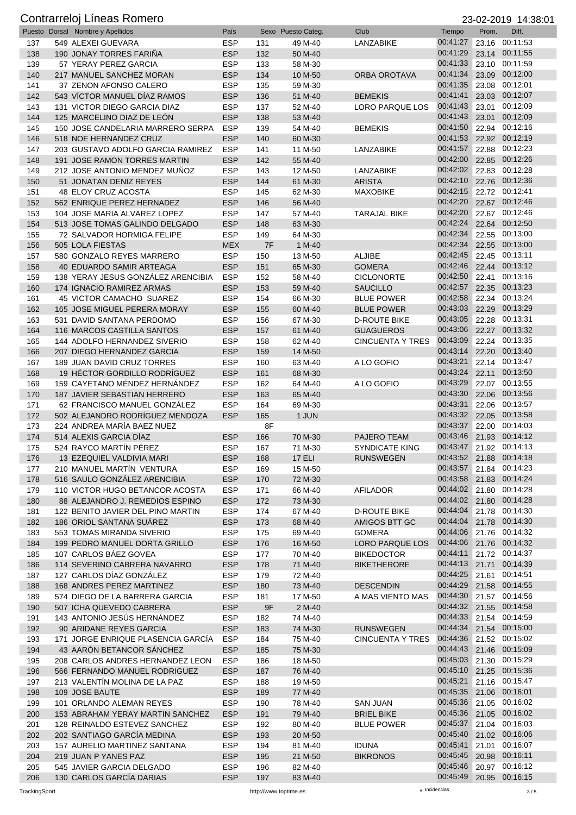|     | Puesto Dorsal Nombre y Apellidos   | País       |     | Sexo Puesto Categ. | Club                    | Tiempo                  | $-0.000$ $-0.000$<br>Prom. | .<br>Diff.     |
|-----|------------------------------------|------------|-----|--------------------|-------------------------|-------------------------|----------------------------|----------------|
| 137 | 549 ALEXEI GUEVARA                 | <b>ESP</b> | 131 | 49 M-40            | LANZABIKE               | 00:41:27                |                            | 23.16 00:11:53 |
| 138 | 190 JONAY TORRES FARIÑA            | <b>ESP</b> | 132 | 50 M-40            |                         | 00:41:29                | 23.14                      | 00:11:55       |
| 139 | 57 YERAY PEREZ GARCIA              | <b>ESP</b> | 133 | 58 M-30            |                         | 00:41:33                |                            | 23.10 00:11:59 |
| 140 | 217 MANUEL SANCHEZ MORAN           | <b>ESP</b> | 134 | 10 M-50            | ORBA OROTAVA            | 00:41:34                |                            | 23.09 00:12:00 |
| 141 | 37 ZENON AFONSO CALERO             | <b>ESP</b> | 135 | 59 M-30            |                         | 00:41:35                |                            | 23.08 00:12:01 |
| 142 | 543 VÍCTOR MANUEL DÍAZ RAMOS       | <b>ESP</b> | 136 | 51 M-40            | <b>BEMEKIS</b>          | 00:41:41                |                            | 23.03 00:12:07 |
| 143 | 131 VICTOR DIEGO GARCIA DIAZ       | <b>ESP</b> | 137 | 52 M-40            | <b>LORO PARQUE LOS</b>  | 00:41:43                | 23.01                      | 00:12:09       |
| 144 | 125 MARCELINO DIAZ DE LEÓN         | <b>ESP</b> | 138 | 53 M-40            |                         | 00:41:43                | 23.01                      | 00:12:09       |
| 145 | 150 JOSE CANDELARIA MARRERO SERPA  | <b>ESP</b> | 139 | 54 M-40            | <b>BEMEKIS</b>          | 00:41:50                |                            | 22.94 00:12:16 |
| 146 | 518 NOE HERNANDEZ CRUZ             | <b>ESP</b> | 140 | 60 M-30            |                         | 00:41:53                |                            | 22.92 00:12:19 |
| 147 | 203 GUSTAVO ADOLFO GARCIA RAMIREZ  | <b>ESP</b> | 141 | 11 M-50            | LANZABIKE               | 00:41:57                |                            | 22.88 00:12:23 |
| 148 | 191 JOSE RAMON TORRES MARTIN       | <b>ESP</b> | 142 | 55 M-40            |                         | 00:42:00                |                            | 22.85 00:12:26 |
| 149 | 212 JOSE ANTONIO MENDEZ MUNOZ      | <b>ESP</b> | 143 | 12 M-50            | LANZABIKE               | 00:42:02                |                            | 22.83 00:12:28 |
| 150 | 51 JONATAN DENIZ REYES             | <b>ESP</b> | 144 | 61 M-30            | <b>ARISTA</b>           | 00:42:10                |                            | 22.76 00:12:36 |
| 151 | 48 ELOY CRUZ ACOSTA                | <b>ESP</b> | 145 | 62 M-30            | <b>MAXOBIKE</b>         | 00:42:15                |                            | 22.72 00:12:41 |
| 152 | 562 ENRIQUE PEREZ HERNADEZ         | <b>ESP</b> | 146 | 56 M-40            |                         | 00:42:20                |                            | 22.67 00:12:46 |
| 153 | 104 JOSE MARIA ALVAREZ LOPEZ       | <b>ESP</b> | 147 | 57 M-40            | <b>TARAJAL BIKE</b>     | 00:42:20                |                            | 22.67 00:12:46 |
| 154 | 513 JOSE TOMAS GALINDO DELGADO     | <b>ESP</b> | 148 | 63 M-30            |                         | 00:42:24                |                            | 22.64 00:12:50 |
| 155 | 72 SALVADOR HORMIGA FELIPE         | <b>ESP</b> | 149 | 64 M-30            |                         | 00:42:34                | 22.55                      | 00:13:00       |
| 156 | 505 LOLA FIESTAS                   | <b>MEX</b> | 7F  | 1 M-40             |                         | 00:42:34                | 22.55                      | 00:13:00       |
| 157 | 580 GONZALO REYES MARRERO          | <b>ESP</b> | 150 | 13 M-50            | <b>ALJIBE</b>           | 00:42:45                |                            | 22.45 00:13:11 |
| 158 | 40 EDUARDO SAMIR ARTEAGA           | <b>ESP</b> | 151 | 65 M-30            | <b>GOMERA</b>           | 00:42:46                |                            | 22.44 00:13:12 |
| 159 | 138 YERAY JESUS GONZÁLEZ ARENCIBIA | <b>ESP</b> | 152 | 58 M-40            | <b>CICLONORTE</b>       | 00:42:50                |                            | 22.41 00:13:16 |
| 160 | 174 IGNACIO RAMIREZ ARMAS          | <b>ESP</b> | 153 | 59 M-40            | <b>SAUCILLO</b>         | 00:42:57                |                            | 22.35 00:13:23 |
| 161 | 45 VICTOR CAMACHO SUAREZ           | <b>ESP</b> | 154 | 66 M-30            | <b>BLUE POWER</b>       | 00:42:58                |                            | 22.34 00:13:24 |
| 162 | 165 JOSE MIGUEL PERERA MORAY       | <b>ESP</b> | 155 | 60 M-40            | <b>BLUE POWER</b>       | 00:43:03                |                            | 22.29 00:13:29 |
| 163 | 531 DAVID SANTANA PERDOMO          | <b>ESP</b> | 156 | 67 M-30            | <b>D-ROUTE BIKE</b>     | 00:43:05                |                            | 22.28 00:13:31 |
| 164 | 116 MARCOS CASTILLA SANTOS         | <b>ESP</b> | 157 | 61 M-40            | <b>GUAGUEROS</b>        | 00:43:06                |                            | 22.27 00:13:32 |
| 165 | 144 ADOLFO HERNANDEZ SIVERIO       | <b>ESP</b> | 158 | 62 M-40            | <b>CINCUENTA Y TRES</b> | 00:43:09                |                            | 22.24 00:13:35 |
| 166 | 207 DIEGO HERNANDEZ GARCIA         | <b>ESP</b> | 159 | 14 M-50            |                         | 00:43:14                | 22.20                      | 00:13:40       |
| 167 | 189 JUAN DAVID CRUZ TORRES         | <b>ESP</b> | 160 | 63 M-40            | A LO GOFIO              | 00:43:21                |                            | 22.14 00:13:47 |
| 168 | 19 HÉCTOR GORDILLO RODRÍGUEZ       | <b>ESP</b> | 161 | 68 M-30            |                         | 00:43:24                | 22.11                      | 00:13:50       |
| 169 | 159 CAYETANO MÉNDEZ HERNÁNDEZ      | <b>ESP</b> | 162 | 64 M-40            | A LO GOFIO              | 00:43:29                |                            | 22.07 00:13:55 |
| 170 | 187 JAVIER SEBASTIAN HERRERO       | <b>ESP</b> | 163 | 65 M-40            |                         | 00:43:30                |                            | 22.06 00:13:56 |
| 171 | 62 FRANCISCO MANUEL GONZÁLEZ       | <b>ESP</b> | 164 | 69 M-30            |                         | 00:43:31                |                            | 22.06 00:13:57 |
| 172 | 502 ALEJANDRO RODRÍGUEZ MENDOZA    | <b>ESP</b> | 165 | 1 JUN              |                         | 00:43:32                |                            | 22.05 00:13:58 |
| 173 | 224 ANDREA MARÍA BAEZ NUEZ         |            | 8F  |                    |                         | 00:43:37                |                            | 22.00 00:14:03 |
| 174 | 514 ALEXIS GARCIA DIAZ             | <b>ESP</b> | 166 | 70 M-30            | PAJERO TEAM             | 00:43:46                |                            | 21.93 00:14:12 |
| 175 | 524 RAYCO MARTIN PÉREZ             | <b>ESP</b> | 167 | 71 M-30            | <b>SYNDICATE KING</b>   | 00:43:47 21.92 00:14:13 |                            |                |
| 176 | 13 EZEQUIEL VALDIVIA MARI          | <b>ESP</b> | 168 | 17 ELI             | <b>RUNSWEGEN</b>        | 00:43:52 21.88 00:14:18 |                            |                |
| 177 | 210 MANUEL MARTÍN VENTURA          | <b>ESP</b> | 169 | 15 M-50            |                         | 00:43:57 21.84 00:14:23 |                            |                |
| 178 | 516 SAULO GONZÁLEZ ARENCIBIA       | <b>ESP</b> | 170 | 72 M-30            |                         | 00:43:58                |                            | 21.83 00:14:24 |
| 179 | 110 VICTOR HUGO BETANCOR ACOSTA    | <b>ESP</b> | 171 | 66 M-40            | <b>AFILADOR</b>         | 00:44:02 21.80 00:14:28 |                            |                |
| 180 | 88 ALEJANDRO J. REMEDIOS ESPINO    | <b>ESP</b> | 172 | 73 M-30            |                         | 00:44:02 21.80 00:14:28 |                            |                |
| 181 | 122 BENITO JAVIER DEL PINO MARTIN  | <b>ESP</b> | 174 | 67 M-40            | <b>D-ROUTE BIKE</b>     | 00:44:04                |                            | 21.78 00:14:30 |
| 182 | 186 ORIOL SANTANA SUÁREZ           | <b>ESP</b> | 173 | 68 M-40            | AMIGOS BTT GC           | 00:44:04                |                            | 21.78 00:14:30 |
| 183 | 553 TOMAS MIRANDA SIVERIO          | <b>ESP</b> | 175 | 69 M-40            | <b>GOMERA</b>           | 00:44:06                |                            | 21.76 00:14:32 |
| 184 | 199 PEDRO MANUEL DORTA GRILLO      | <b>ESP</b> | 176 | 16 M-50            | <b>LORO PARQUE LOS</b>  | 00:44:06                |                            | 21.76 00:14:32 |
| 185 | 107 CARLOS BÁEZ GOVEA              | <b>ESP</b> | 177 | 70 M-40            | <b>BIKEDOCTOR</b>       | 00:44:11                |                            | 21.72 00:14:37 |
| 186 | 114 SEVERINO CABRERA NAVARRO       | <b>ESP</b> | 178 | 71 M-40            | <b>BIKETHERORE</b>      | 00:44:13                | 21.71                      | 00:14:39       |
| 187 | 127 CARLOS DÍAZ GONZÁLEZ           | <b>ESP</b> | 179 | 72 M-40            |                         | 00:44:25                |                            | 21.61 00:14:51 |
| 188 | 168 ANDRES PEREZ MARTINEZ          | <b>ESP</b> | 180 | 73 M-40            | <b>DESCENDIN</b>        | 00:44:29                |                            | 21.58 00:14:55 |
| 189 | 574 DIEGO DE LA BARRERA GARCIA     | <b>ESP</b> | 181 | 17 M-50            | A MAS VIENTO MAS        | 00:44:30                |                            | 21.57 00:14:56 |
| 190 | 507 ICHA QUEVEDO CABRERA           | <b>ESP</b> | 9F  | 2 M-40             |                         | 00:44:32 21.55 00:14:58 |                            |                |
| 191 | 143 ANTONIO JESÚS HERNÁNDEZ        | <b>ESP</b> | 182 | 74 M-40            |                         | 00:44:33 21.54 00:14:59 |                            |                |
| 192 | 90 ARIDANE REYES GARCIA            | <b>ESP</b> | 183 | 74 M-30            | <b>RUNSWEGEN</b>        | 00:44:34                |                            | 21.54 00:15:00 |
| 193 | 171 JORGE ENRIQUE PLASENCIA GARCÍA | <b>ESP</b> | 184 | 75 M-40            | <b>CINCUENTA Y TRES</b> | 00:44:36                |                            | 21.52 00:15:02 |
| 194 | 43 AARÓN BETANCOR SÁNCHEZ          | <b>ESP</b> | 185 | 75 M-30            |                         | 00:44:43 21.46 00:15:09 |                            |                |
| 195 | 208 CARLOS ANDRES HERNANDEZ LEON   | <b>ESP</b> | 186 | 18 M-50            |                         | 00:45:03                |                            | 21.30 00:15:29 |
| 196 | 566 FERNANDO MANUEL RODRIGUEZ      | <b>ESP</b> | 187 | 76 M-40            |                         | 00:45:10 21.25 00:15:36 |                            |                |
| 197 | 213 VALENTÍN MOLINA DE LA PAZ      | <b>ESP</b> | 188 | 19 M-50            |                         | 00:45:21                |                            | 21.16 00:15:47 |
| 198 | 109 JOSE BAUTE                     | <b>ESP</b> | 189 | 77 M-40            |                         | 00:45:35                |                            | 21.06 00:16:01 |
| 199 | 101 ORLANDO ALEMAN REYES           | <b>ESP</b> | 190 | 78 M-40            | <b>SAN JUAN</b>         | 00:45:36                |                            | 21.05 00:16:02 |
| 200 | 153 ABRAHAM YERAY MARTIN SANCHEZ   | <b>ESP</b> | 191 | 79 M-40            | <b>BRIEL BIKE</b>       | 00:45:36 21.05 00:16:02 |                            |                |
| 201 | 128 REINALDO ESTEVEZ SANCHEZ       | <b>ESP</b> | 192 | 80 M-40            | <b>BLUE POWER</b>       | 00:45:37                |                            | 21.04 00:16:03 |
| 202 | 202 SANTIAGO GARCÍA MEDINA         | <b>ESP</b> | 193 | 20 M-50            |                         | 00:45:40                |                            | 21.02 00:16:06 |
| 203 | 157 AURELIO MARTINEZ SANTANA       | <b>ESP</b> | 194 | 81 M-40            | <b>IDUNA</b>            | 00:45:41                |                            | 21.01 00:16:07 |
| 204 | 219 JUAN P YANES PAZ               | <b>ESP</b> | 195 | 21 M-50            | <b>BIKRONOS</b>         | 00:45:45                |                            | 20.98 00:16:11 |
| 205 | 545 JAVIER GARCIA DELGADO          | <b>ESP</b> | 196 | 82 M-40            |                         | 00:45:46                |                            | 20.97 00:16:12 |
| 206 | 130 CARLOS GARCÍA DARIAS           | <b>ESP</b> | 197 | 83 M-40            |                         | 00:45:49 20.95 00:16:15 |                            |                |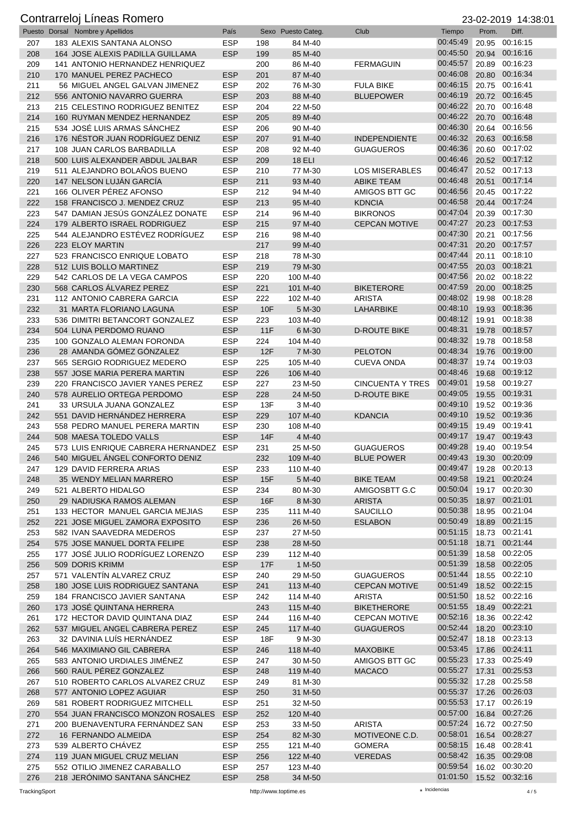|            | Puesto Dorsal Nombre y Apellidos                                 | País                     |            | Sexo Puesto Categ.  | Club                                       | Tiempo                  | Prom. | Diff.                            |
|------------|------------------------------------------------------------------|--------------------------|------------|---------------------|--------------------------------------------|-------------------------|-------|----------------------------------|
| 207        | 183 ALEXIS SANTANA ALONSO                                        | <b>ESP</b>               | 198        | 84 M-40             |                                            | 00:45:49                | 20.95 | 00:16:15                         |
| 208        | 164 JOSE ALEXIS PADILLA GUILLAMA                                 | <b>ESP</b>               | 199        | 85 M-40             |                                            | 00:45:50                |       | 20.94 00:16:16                   |
| 209        | 141 ANTONIO HERNANDEZ HENRIQUEZ                                  |                          | 200        | 86 M-40             | <b>FERMAGUIN</b>                           | 00:45:57                |       | 20.89 00:16:23                   |
| 210        | 170 MANUEL PEREZ PACHECO                                         | <b>ESP</b>               | 201        | 87 M-40             |                                            | 00:46:08                | 20.80 | 00:16:34                         |
| 211        | 56 MIGUEL ANGEL GALVAN JIMENEZ                                   | <b>ESP</b>               | 202        | 76 M-30             | <b>FULA BIKE</b>                           | 00:46:15                | 20.75 | 00:16:41                         |
| 212        | 556 ANTONIO NAVARRO GUERRA                                       | <b>ESP</b>               | 203        | 88 M-40             | <b>BLUEPOWER</b>                           | 00:46:19                |       | 20.72 00:16:45                   |
| 213        | 215 CELESTINO RODRIGUEZ BENITEZ                                  | <b>ESP</b>               | 204        | 22 M-50             |                                            | 00:46:22                | 20.70 | 00:16:48                         |
| 214        | 160 RUYMAN MENDEZ HERNANDEZ                                      | <b>ESP</b>               | 205        | 89 M-40             |                                            | 00:46:22                | 20.70 | 00:16:48                         |
| 215        | 534 JOSÉ LUIS ARMAS SÁNCHEZ                                      | <b>ESP</b>               | 206        | 90 M-40             |                                            | 00:46:30                |       | 20.64 00:16:56                   |
| 216        | 176 NÉSTOR JUAN RODRÍGUEZ DENIZ                                  | <b>ESP</b>               | 207        | 91 M-40             | <b>INDEPENDIENTE</b>                       | 00:46:32                | 20.63 | 00:16:58                         |
| 217        | 108 JUAN CARLOS BARBADILLA                                       | <b>ESP</b>               | 208        | 92 M-40             | <b>GUAGUEROS</b>                           | 00:46:36<br>00:46:46    |       | 20.60 00:17:02<br>20.52 00:17:12 |
| 218        | 500 LUIS ALEXANDER ABDUL JALBAR                                  | <b>ESP</b>               | 209        | <b>18 ELI</b>       |                                            | 00:46:47                |       | 20.52 00:17:13                   |
| 219<br>220 | 511 ALEJANDRO BOLAÑOS BUENO<br>147 NELSON LUJÁN GARCÍA           | <b>ESP</b><br><b>ESP</b> | 210<br>211 | 77 M-30<br>93 M-40  | <b>LOS MISERABLES</b><br><b>ABIKE TEAM</b> | 00:46:48                |       | 20.51 00:17:14                   |
| 221        | 166 OLIVER PÉREZ AFONSO                                          | <b>ESP</b>               | 212        | 94 M-40             | AMIGOS BTT GC                              | 00:46:56                |       | 20.45 00:17:22                   |
| 222        | 158 FRANCISCO J. MENDEZ CRUZ                                     | <b>ESP</b>               | 213        | 95 M-40             | <b>KDNCIA</b>                              | 00:46:58                | 20.44 | 00:17:24                         |
| 223        | 547 DAMIAN JESÚS GONZÁLEZ DONATE                                 | <b>ESP</b>               | 214        | 96 M-40             | <b>BIKRONOS</b>                            | 00:47:04                | 20.39 | 00:17:30                         |
| 224        | 179 ALBERTO ISRAEL RODRIGUEZ                                     | <b>ESP</b>               | 215        | 97 M-40             | <b>CEPCAN MOTIVE</b>                       | 00:47:27                | 20.23 | 00:17:53                         |
| 225        | 544 ALEJANDRO ESTÉVEZ RODRÍGUEZ                                  | <b>ESP</b>               | 216        | 98 M-40             |                                            | 00:47:30                | 20.21 | 00:17:56                         |
| 226        | 223 ELOY MARTIN                                                  |                          | 217        | 99 M-40             |                                            | 00:47:31                |       | 20.20 00:17:57                   |
| 227        | 523 FRANCISCO ENRIQUE LOBATO                                     | <b>ESP</b>               | 218        | 78 M-30             |                                            | 00:47:44                | 20.11 | 00:18:10                         |
| 228        | 512 LUIS BOLLO MARTINEZ                                          | <b>ESP</b>               | 219        | 79 M-30             |                                            | 00:47:55                | 20.03 | 00:18:21                         |
| 229        | 542 CARLOS DE LA VEGA CAMPOS                                     | <b>ESP</b>               | 220        | 100 M-40            |                                            | 00:47:56                |       | 20.02 00:18:22                   |
| 230        | 568 CARLOS ÁLVAREZ PEREZ                                         | <b>ESP</b>               | 221        | 101 M-40            | <b>BIKETERORE</b>                          | 00:47:59                | 20.00 | 00:18:25                         |
| 231        | 112 ANTONIO CABRERA GARCIA                                       | <b>ESP</b>               | 222        | 102 M-40            | ARISTA                                     | 00:48:02                | 19.98 | 00:18:28                         |
| 232        | 31 MARTA FLORIANO LAGUNA                                         | <b>ESP</b>               | 10F        | 5 M-30              | LAHARBIKE                                  | 00:48:10                |       | 19.93 00:18:36                   |
| 233        | 536 DIMITRI BETANCORT GONZALEZ                                   | <b>ESP</b>               | 223        | 103 M-40            |                                            | 00:48:12                | 19.91 | 00:18:38                         |
| 234        | 504 LUNA PERDOMO RUANO                                           | <b>ESP</b>               | 11F        | 6 M-30              | <b>D-ROUTE BIKE</b>                        | 00:48:31                | 19.78 | 00:18:57                         |
| 235        | 100 GONZALO ALEMAN FORONDA                                       | <b>ESP</b>               | 224        | 104 M-40            |                                            | 00:48:32                |       | 19.78 00:18:58                   |
| 236        | 28 AMANDA GÓMEZ GÓNZALEZ                                         | <b>ESP</b>               | 12F        | 7 M-30              | <b>PELOTON</b>                             | 00:48:34                | 19.76 | 00:19:00                         |
| 237        | 565 SERGIO RODRIGUEZ MEDERO                                      | <b>ESP</b>               | 225        | 105 M-40            | <b>CUEVA ONDA</b>                          | 00:48:37                | 19.74 | 00:19:03                         |
| 238        | 557 JOSE MARIA PERERA MARTIN                                     | <b>ESP</b>               | 226        | 106 M-40            |                                            | 00:48:46                |       | 19.68 00:19:12                   |
| 239        | 220 FRANCISCO JAVIER YANES PEREZ                                 | <b>ESP</b>               | 227        | 23 M-50             | <b>CINCUENTA Y TRES</b>                    | 00:49:01                |       | 19.58 00:19:27                   |
| 240        | 578 AURELIO ORTEGA PERDOMO                                       | <b>ESP</b>               | 228        | 24 M-50             | <b>D-ROUTE BIKE</b>                        | 00:49:05                | 19.55 | 00:19:31                         |
| 241        | 33 URSULA JUANA GONZALEZ                                         | <b>ESP</b>               | 13F        | 3 M-40              |                                            | 00:49:10                |       | 19.52 00:19:36                   |
| 242        | 551 DAVID HERNÁNDEZ HERRERA                                      | <b>ESP</b>               | 229        | 107 M-40            | <b>KDANCIA</b>                             | 00:49:10                |       | 19.52 00:19:36                   |
| 243        | 558 PEDRO MANUEL PERERA MARTIN                                   | <b>ESP</b>               | 230        | 108 M-40            |                                            | 00:49:15                |       | 19.49 00:19:41                   |
| 244        | 508 MAESA TOLEDO VALLS                                           | <b>ESP</b>               | 14F        | 4 M-40              |                                            | 00:49:17                |       | 19.47 00:19:43                   |
| 245        | 573 LUIS ENRIQUE CABRERA HERNANDEZ ESP                           |                          | 231        | 25 M-50             | <b>GUAGUEROS</b>                           | 00:49:28                |       | 19.40 00:19:54                   |
| 246        | 540 MIGUEL ÁNGEL CONFORTO DENIZ                                  |                          | 232        | 109 M-40            | <b>BLUE POWER</b>                          | 00:49:43 19.30 00:20:09 |       |                                  |
| 247        | 129 DAVID FERRERA ARIAS                                          | <b>ESP</b>               | 233        | 110 M-40            |                                            | 00:49:47                |       | 19.28 00:20:13                   |
| 248        | 35 WENDY MELIAN MARRERO                                          | <b>ESP</b>               | 15F        | 5 M-40              | <b>BIKE TEAM</b>                           | 00:49:58                | 19.21 | 00:20:24                         |
| 249        | 521 ALBERTO HIDALGO                                              | <b>ESP</b>               | 234        | 80 M-30             | AMIGOSBTT G.C                              | 00:50:04                |       | 19.17 00:20:30                   |
| 250        | 29 NADIUSKA RAMOS ALEMAN                                         | <b>ESP</b>               | 16F        | 8 M-30              | <b>ARISTA</b>                              | 00:50:35                |       | 18.97 00:21:01                   |
| 251        | 133 HECTOR MANUEL GARCIA MEJIAS                                  | <b>ESP</b>               | 235        | 111 M-40            | <b>SAUCILLO</b>                            | 00:50:38                |       | 18.95 00:21:04                   |
| 252        | 221 JOSE MIGUEL ZAMORA EXPOSITO                                  | <b>ESP</b>               | 236        | 26 M-50             | <b>ESLABON</b>                             | 00:50:49<br>00:51:15    |       | 18.89 00:21:15                   |
| 253        | 582 IVAN SAAVEDRA MEDEROS                                        | <b>ESP</b>               | 237        | 27 M-50             |                                            | 00:51:18                |       | 18.73 00:21:41<br>00:21:44       |
| 254<br>255 | 575 JOSE MANUEL DORTA FELIPE<br>177 JOSÉ JULIO RODRÍGUEZ LORENZO | <b>ESP</b><br><b>ESP</b> | 238<br>239 | 28 M-50<br>112 M-40 |                                            | 00:51:39                | 18.71 | 18.58 00:22:05                   |
| 256        | 509 DORIS KRIMM                                                  | <b>ESP</b>               | <b>17F</b> | 1 M-50              |                                            | 00:51:39                |       | 18.58 00:22:05                   |
| 257        | 571 VALENTÍN ALVAREZ CRUZ                                        | <b>ESP</b>               | 240        | 29 M-50             | <b>GUAGUEROS</b>                           | 00:51:44                |       | 18.55 00:22:10                   |
| 258        | 180 JOSE LUIS RODRIGUEZ SANTANA                                  | <b>ESP</b>               | 241        | 113 M-40            | <b>CEPCAN MOTIVE</b>                       | 00:51:49                |       | 18.52 00:22:15                   |
| 259        | 184 FRANCISCO JAVIER SANTANA                                     | <b>ESP</b>               | 242        | 114 M-40            | <b>ARISTA</b>                              | 00:51:50                |       | 18.52 00:22:16                   |
| 260        | 173 JOSÉ QUINTANA HERRERA                                        |                          | 243        | 115 M-40            | <b>BIKETHERORE</b>                         | 00:51:55                |       | 18.49 00:22:21                   |
| 261        | 172 HECTOR DAVID QUINTANA DIAZ                                   | <b>ESP</b>               | 244        | 116 M-40            | <b>CEPCAN MOTIVE</b>                       | 00:52:16                |       | 18.36 00:22:42                   |
| 262        | 537 MIGUEL ANGEL CABRERA PEREZ                                   | <b>ESP</b>               | 245        | 117 M-40            | <b>GUAGUEROS</b>                           | 00:52:44                |       | 18.20 00:23:10                   |
| 263        | 32 DAVINIA LUÍS HERNÁNDEZ                                        | <b>ESP</b>               | 18F        | 9 M-30              |                                            | 00:52:47                |       | 18.18 00:23:13                   |
| 264        | 546 MAXIMIANO GIL CABRERA                                        | <b>ESP</b>               | 246        | 118 M-40            | <b>MAXOBIKE</b>                            | 00:53:45                | 17.86 | 00:24:11                         |
| 265        | 583 ANTONIO URDIALES JIMÉNEZ                                     | <b>ESP</b>               | 247        | 30 M-50             | AMIGOS BTT GC                              | 00:55:23                | 17.33 | 00:25:49                         |
| 266        | 560 RAUL PÉREZ GONZALEZ                                          | <b>ESP</b>               | 248        | 119 M-40            | <b>MACACO</b>                              | 00:55:27                | 17.31 | 00:25:53                         |
| 267        | 510 ROBERTO CARLOS ALVAREZ CRUZ                                  | <b>ESP</b>               | 249        | 81 M-30             |                                            | 00:55:32                |       | 17.28 00:25:58                   |
| 268        | 577 ANTONIO LOPEZ AGUIAR                                         | <b>ESP</b>               | 250        | 31 M-50             |                                            | 00:55:37                |       | 17.26 00:26:03                   |
| 269        | 581 ROBERT RODRIGUEZ MITCHELL                                    | <b>ESP</b>               | 251        | 32 M-50             |                                            | 00:55:53                |       | 17.17 00:26:19                   |
| 270        | 554 JUAN FRANCISCO MONZON ROSALES                                | <b>ESP</b>               | 252        | 120 M-40            |                                            | 00:57:00                |       | 16.84 00:27:26                   |
| 271        | 200 BUENAVENTURA FERNANDEZ SAN                                   | <b>ESP</b>               | 253        | 33 M-50             | <b>ARISTA</b>                              | 00:57:24                |       | 16.72 00:27:50                   |
| 272        | 16 FERNANDO ALMEIDA                                              | <b>ESP</b>               | 254        | 82 M-30             | MOTIVEONE C.D.                             | 00:58:01                |       | 16.54 00:28:27                   |
| 273        | 539 ALBERTO CHÁVEZ                                               | <b>ESP</b>               | 255        | 121 M-40            | <b>GOMERA</b>                              | 00:58:15                |       | 16.48 00:28:41                   |
| 274        | 119 JUAN MIGUEL CRUZ MELIAN                                      | <b>ESP</b>               | 256        | 122 M-40            | <b>VEREDAS</b>                             | 00:58:42                |       | 16.35 00:29:08                   |
| 275        | 552 OTILIO JIMENEZ CARABALLO                                     | <b>ESP</b>               | 257        | 123 M-40            |                                            | 00:59:54                |       | 16.02 00:30:20                   |
| 276        | 218 JERÓNIMO SANTANA SÁNCHEZ                                     | <b>ESP</b>               | 258        | 34 M-50             |                                            | 01:01:50                |       | 15.52 00:32:16                   |